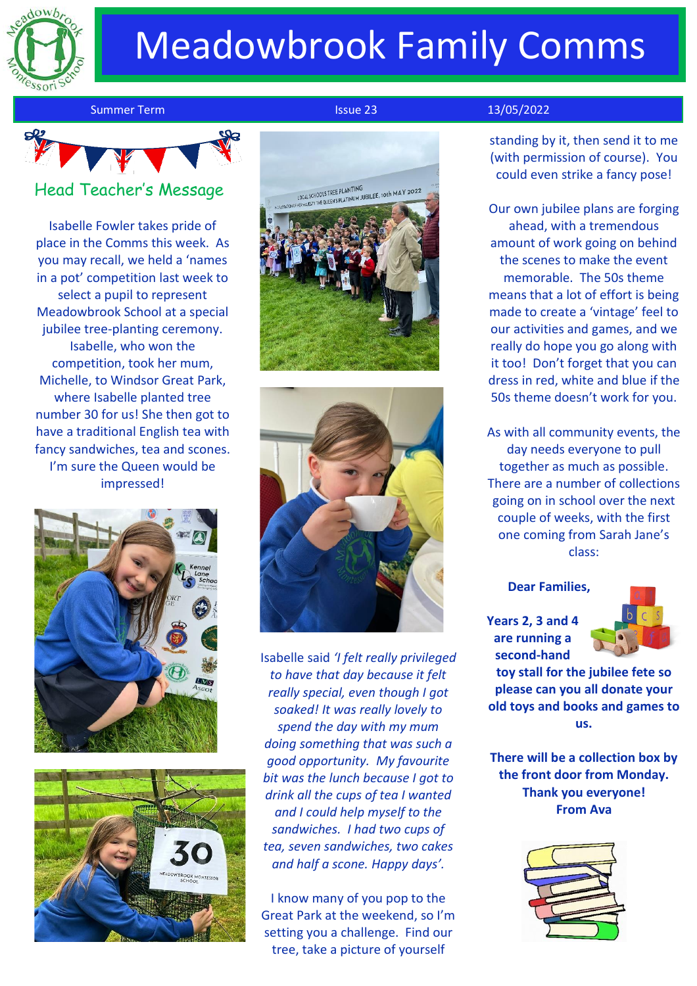

# Meadowbrook Family Comms

Summer Term **Issue 23** 13/05/2022

Head Teacher's Message

Isabelle Fowler takes pride of place in the Comms this week. As you may recall, we held a 'names in a pot' competition last week to select a pupil to represent Meadowbrook School at a special jubilee tree-planting ceremony. Isabelle, who won the competition, took her mum, Michelle, to Windsor Great Park, where Isabelle planted tree number 30 for us! She then got to have a traditional English tea with fancy sandwiches, tea and scones. I'm sure the Queen would be impressed!









Isabelle said *'I felt really privileged to have that day because it felt really special, even though I got soaked! It was really lovely to spend the day with my mum doing something that was such a good opportunity. My favourite bit was the lunch because I got to drink all the cups of tea I wanted and I could help myself to the sandwiches. I had two cups of tea, seven sandwiches, two cakes and half a scone. Happy days'.*

I know many of you pop to the Great Park at the weekend, so I'm setting you a challenge. Find our tree, take a picture of yourself

standing by it, then send it to me (with permission of course). You could even strike a fancy pose!

Our own jubilee plans are forging ahead, with a tremendous amount of work going on behind the scenes to make the event memorable. The 50s theme means that a lot of effort is being made to create a 'vintage' feel to our activities and games, and we really do hope you go along with it too! Don't forget that you can dress in red, white and blue if the 50s theme doesn't work for you.

As with all community events, the day needs everyone to pull together as much as possible. There are a number of collections going on in school over the next couple of weeks, with the first one coming from Sarah Jane's class:

**Dear Families,**

**Years 2, 3 and 4 are running a second-hand** 



**toy stall for the jubilee fete so please can you all donate your old toys and books and games to us.** 

**There will be a collection box by the front door from Monday. Thank you everyone! From Ava**